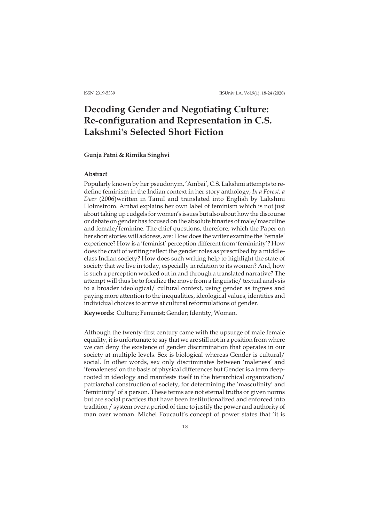## **Decoding Gender and Negotiating Culture: Re-configuration and Representation in C.S. Lakshmi's Selected Short Fiction**

## **Gunja Patni & Rimika Singhvi**

## **Abstract**

Popularly known by her pseudonym, 'Ambai', C.S. Lakshmi attempts to redefine feminism in the Indian context in her story anthology, *In a Forest, a Deer* (2006)written in Tamil and translated into English by Lakshmi Holmstrom. Ambai explains her own label of feminism which is not just about taking up cudgels for women's issues but also about how the discourse or debate on gender has focused on the absolute binaries of male/masculine and female/feminine. The chief questions, therefore, which the Paper on her short stories will address, are: How does the writer examine the 'female' experience? How is a 'feminist' perception different from 'femininity'? How does the craft of writing reflect the gender roles as prescribed by a middleclass Indian society? How does such writing help to highlight the state of society that we live in today, especially in relation to its women? And, how is such a perception worked out in and through a translated narrative? The attempt will thus be to focalize the move from a linguistic/ textual analysis to a broader ideological/ cultural context, using gender as ingress and paying more attention to the inequalities, ideological values, identities and individual choices to arrive at cultural reformulations of gender.

**Keywords**: Culture; Feminist; Gender; Identity; Woman.

Although the twenty-first century came with the upsurge of male female equality, it is unfortunate to say that we are still not in a position from where we can deny the existence of gender discrimination that operates in our society at multiple levels. Sex is biological whereas Gender is cultural/ social. In other words, sex only discriminates between 'maleness' and 'femaleness' on the basis of physical differences but Gender is a term deeprooted in ideology and manifests itself in the hierarchical organization/ patriarchal construction of society, for determining the 'masculinity' and 'femininity' of a person. These terms are not eternal truths or given norms but are social practices that have been institutionalized and enforced into tradition / system over a period of time to justify the power and authority of man over woman. Michel Foucault's concept of power states that 'it is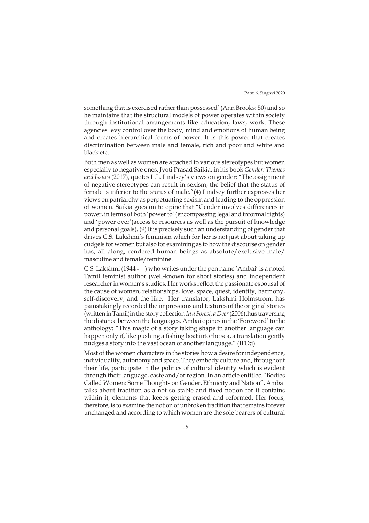something that is exercised rather than possessed' (Ann Brooks: 50) and so he maintains that the structural models of power operates within society through institutional arrangements like education, laws, work. These agencies levy control over the body, mind and emotions of human being and creates hierarchical forms of power. It is this power that creates discrimination between male and female, rich and poor and white and black etc.

Both men as well as women are attached to various stereotypes but women especially to negative ones. Jyoti Prasad Saikia, in his book *Gender: Themes and Issues* (2017), quotes L.L. Lindsey's views on gender: "The assignment of negative stereotypes can result in sexism, the belief that the status of female is inferior to the status of male."(4) Lindsey further expresses her views on patriarchy as perpetuating sexism and leading to the oppression of women. Saikia goes on to opine that "Gender involves differences in power, in terms of both 'power to' (encompassing legal and informal rights) and 'power over'(access to resources as well as the pursuit of knowledge and personal goals). (9) It is precisely such an understanding of gender that drives C.S. Lakshmi's feminism which for her is not just about taking up cudgels for women but also for examining as to how the discourse on gender has, all along, rendered human beings as absolute/exclusive male/ masculine and female/feminine.

C.S. Lakshmi (1944 - ) who writes under the pen name 'Ambai' is a noted Tamil feminist author (well-known for short stories) and independent researcher in women's studies. Her works reflect the passionate espousal of the cause of women, relationships, love, space, quest, identity, harmony, self-discovery, and the like. Her translator, Lakshmi Holmstrom, has painstakingly recorded the impressions and textures of the original stories (written in Tamil)in the story collection *In a Forest, a Deer* (2006)thus traversing the distance between the languages. Ambai opines in the 'Foreword' to the anthology: "This magic of a story taking shape in another language can happen only if, like pushing a fishing boat into the sea, a translation gently nudges a story into the vast ocean of another language." (IFD:i)

Most of the women characters in the stories how a desire for independence, individuality, autonomy and space. They embody culture and, throughout their life, participate in the politics of cultural identity which is evident through their language, caste and/or region. In an article entitled "Bodies Called Women: Some Thoughts on Gender, Ethnicity and Nation", Ambai talks about tradition as a not so stable and fixed notion for it contains within it, elements that keeps getting erased and reformed. Her focus, therefore, is to examine the notion of unbroken tradition that remains forever unchanged and according to which women are the sole bearers of cultural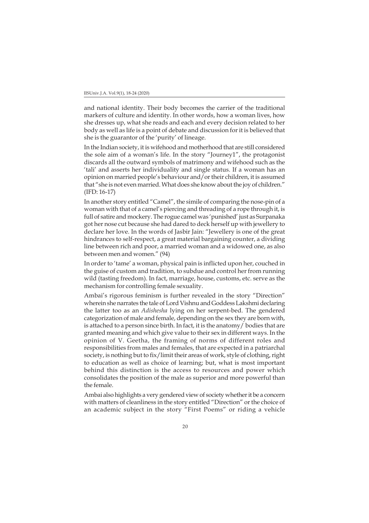and national identity. Their body becomes the carrier of the traditional markers of culture and identity. In other words, how a woman lives, how she dresses up, what she reads and each and every decision related to her body as well as life is a point of debate and discussion for it is believed that she is the guarantor of the 'purity' of lineage.

In the Indian society, it is wifehood and motherhood that are still considered the sole aim of a woman's life. In the story "Journey1", the protagonist discards all the outward symbols of matrimony and wifehood such as the 'tali' and asserts her individuality and single status. If a woman has an opinion on married people's behaviour and/or their children, it is assumed that "she is not even married. What does she know about the joy of children." (IFD: 16-17)

In another story entitled "Camel", the simile of comparing the nose-pin of a woman with that of a camel's piercing and threading of a rope through it, is full of satire and mockery. The rogue camel was 'punished' just as Surpanaka got her nose cut because she had dared to deck herself up with jewellery to declare her love. In the words of Jasbir Jain: "Jewellery is one of the great hindrances to self-respect, a great material bargaining counter, a dividing line between rich and poor, a married woman and a widowed one, as also between men and women." (94)

In order to 'tame' a woman, physical pain is inflicted upon her, couched in the guise of custom and tradition, to subdue and control her from running wild (tasting freedom). In fact, marriage, house, customs, etc. serve as the mechanism for controlling female sexuality.

Ambai's rigorous feminism is further revealed in the story "Direction" wherein she narrates the tale of Lord Vishnu and Goddess Lakshmi declaring the latter too as an *Adishesha* lying on her serpent-bed. The gendered categorization of male and female, depending on the sex they are born with, is attached to a person since birth. In fact, it is the anatomy/ bodies that are granted meaning and which give value to their sex in different ways. In the opinion of V. Geetha, the framing of norms of different roles and responsibilities from males and females, that are expected in a patriarchal society, is nothing but to fix/limit their areas of work, style of clothing, right to education as well as choice of learning; but, what is most important behind this distinction is the access to resources and power which consolidates the position of the male as superior and more powerful than the female.

Ambai also highlights a very gendered view of society whether it be a concern with matters of cleanliness in the story entitled "Direction" or the choice of an academic subject in the story "First Poems" or riding a vehicle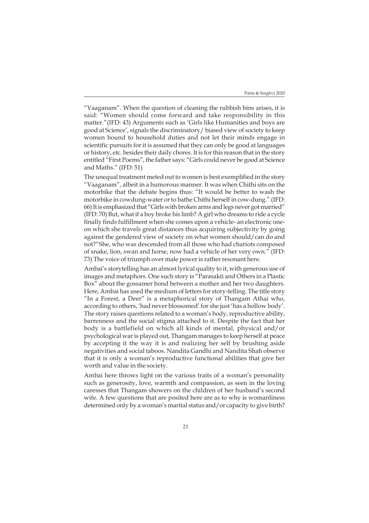"Vaaganam". When the question of cleaning the rubbish bins arises, it is said: "Women should come forward and take responsibility in this matter."(IFD: 43) Arguments such as 'Girls like Humanities and boys are good at Science', signals the discriminatory/ biased view of society to keep women bound to household duties and not let their minds engage in scientific pursuits for it is assumed that they can only be good at languages or history, etc. besides their daily chores. It is for this reason that in the story entitled "First Poems", the father says: "Girls could never be good at Science and Maths." (IFD: 51)

The unequal treatment meted out to women is best exemplified in the story "Vaaganam", albeit in a humorous manner. It was when Chithi sits on the motorbike that the debate begins thus: "It would be better to wash the motorbike in cowdung-water or to bathe Chithi herself in cow-dung." (IFD: 66) It is emphasized that "Girls with broken arms and legs never got married" (IFD: 70) But, what if a boy broke his limb? A girl who dreams to ride a cycle finally finds fulfillment when she comes upon a vehicle- an electronic oneon which she travels great distances thus acquiring subjectivity by going against the gendered view of society on what women should/can do and not?"She, who was descended from all those who had chariots composed of snake, lion, swan and horse, now had a vehicle of her very own." (IFD: 73) The voice of triumph over male power is rather resonant here.

Ambai's storytelling has an almost lyrical quality to it, with generous use of images and metaphors. One such story is "Parasakti and Others in a Plastic Box" about the gossamer bond between a mother and her two daughters. Here, Ambai has used the medium of letters for story-telling. The title story "In a Forest, a Deer" is a metaphorical story of Thangam Athai who, according to others, 'had never blossomed' for she just 'has a hollow body'. The story raises questions related to a woman's body, reproductive ability, barrenness and the social stigma attached to it. Despite the fact that her body is a battlefield on which all kinds of mental, physical and/or psychological war is played out, Thangam manages to keep herself at peace by accepting it the way it is and realizing her self by brushing aside negativities and social taboos. Nandita Gandhi and Nandita Shah observe that it is only a woman's reproductive functional abilities that give her worth and value in the society.

Ambai here throws light on the various traits of a woman's personality such as generosity, love, warmth and compassion, as seen in the loving caresses that Thangam showers on the children of her husband's second wife. A few questions that are posited here are as to why is womanliness determined only by a woman's marital status and/or capacity to give birth?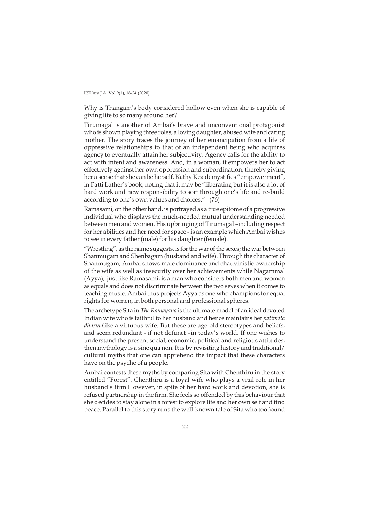Why is Thangam's body considered hollow even when she is capable of giving life to so many around her?

Tirumagal is another of Ambai's brave and unconventional protagonist who is shown playing three roles; a loving daughter, abused wife and caring mother. The story traces the journey of her emancipation from a life of oppressive relationships to that of an independent being who acquires agency to eventually attain her subjectivity. Agency calls for the ability to act with intent and awareness. And, in a woman, it empowers her to act effectively against her own oppression and subordination, thereby giving her a sense that she can be herself. Kathy Kea demystifies "empowerment" in Patti Lather's book, noting that it may be "liberating but it is also a lot of hard work and new responsibility to sort through one's life and re-build according to one's own values and choices." (76)

Ramasami, on the other hand, is portrayed as a true epitome of a progressive individual who displays the much-needed mutual understanding needed between men and women. His upbringing of Tirumagal –including respect for her abilities and her need for space - is an example which Ambai wishes to see in every father (male) for his daughter (female).

"Wrestling", as the name suggests, is for the war of the sexes; the war between Shanmugam and Shenbagam (husband and wife). Through the character of Shanmugam, Ambai shows male dominance and chauvinistic ownership of the wife as well as insecurity over her achievements while Nagammal (Ayya), just like Ramasami, is a man who considers both men and women as equals and does not discriminate between the two sexes when it comes to teaching music. Ambai thus projects Ayya as one who champions for equal rights for women, in both personal and professional spheres.

The archetype Sita in *The Ramayana* is the ultimate model of an ideal devoted Indian wife who is faithful to her husband and hence maintains her *pativrita dharma*like a virtuous wife*.* But these are age-old stereotypes and beliefs, and seem redundant - if not defunct –in today's world. If one wishes to understand the present social, economic, political and religious attitudes, then mythology is a sine qua non. It is by revisiting history and traditional/ cultural myths that one can apprehend the impact that these characters have on the psyche of a people.

Ambai contests these myths by comparing Sita with Chenthiru in the story entitled "Forest"*.* Chenthiru is a loyal wife who plays a vital role in her husband's firm.However, in spite of her hard work and devotion, she is refused partnership in the firm. She feels so offended by this behaviour that she decides to stay alone in a forest to explore life and her own self and find peace. Parallel to this story runs the well-known tale of Sita who too found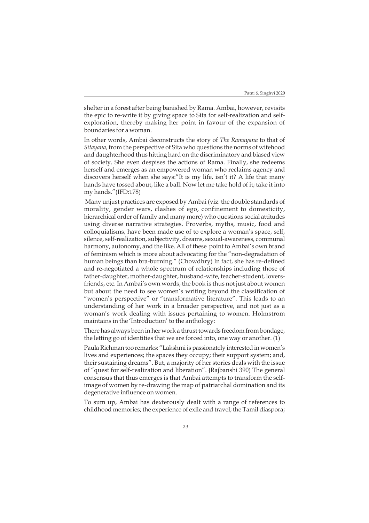shelter in a forest after being banished by Rama. Ambai, however, revisits the epic to re-write it by giving space to Sita for self-realization and selfexploration, thereby making her point in favour of the expansion of boundaries for a woman.

In other words, Ambai deconstructs the story of *The Ramayana* to that of *Sitayana,* from the perspective of Sita who questions the norms of wifehood and daughterhood thus hitting hard on the discriminatory and biased view of society. She even despises the actions of Rama. Finally, she redeems herself and emerges as an empowered woman who reclaims agency and discovers herself when she says:"It is my life, isn't it? A life that many hands have tossed about, like a ball. Now let me take hold of it; take it into my hands."(IFD:178)

 Many unjust practices are exposed by Ambai (viz. the double standards of morality, gender wars, clashes of ego, confinement to domesticity, hierarchical order of family and many more) who questions social attitudes using diverse narrative strategies. Proverbs, myths, music, food and colloquialisms, have been made use of to explore a woman's space, self, silence, self-realization, subjectivity, dreams, sexual-awareness, communal harmony, autonomy, and the like. All of these point to Ambai's own brand of feminism which is more about advocating for the "non-degradation of human beings than bra-burning." (Chowdhry) In fact, she has re-defined and re-negotiated a whole spectrum of relationships including those of father-daughter, mother-daughter, husband-wife, teacher-student, loversfriends, etc. In Ambai's own words, the book is thus not just about women but about the need to see women's writing beyond the classification of "women's perspective" or "transformative literature". This leads to an understanding of her work in a broader perspective, and not just as a woman's work dealing with issues pertaining to women. Holmstrom maintains in the 'Introduction' to the anthology:

There has always been in her work a thrust towards freedom from bondage, the letting go of identities that we are forced into, one way or another. (1)

Paula Richman too remarks: "Lakshmi is passionately interested in women's lives and experiences; the spaces they occupy; their support system; and, their sustaining dreams". But, a majority of her stories deals with the issue of "quest for self-realization and liberation". **(**Rajbanshi 390) The general consensus that thus emerges is that Ambai attempts to transform the selfimage of women by re-drawing the map of patriarchal domination and its degenerative influence on women.

To sum up, Ambai has dexterously dealt with a range of references to childhood memories; the experience of exile and travel; the Tamil diaspora;